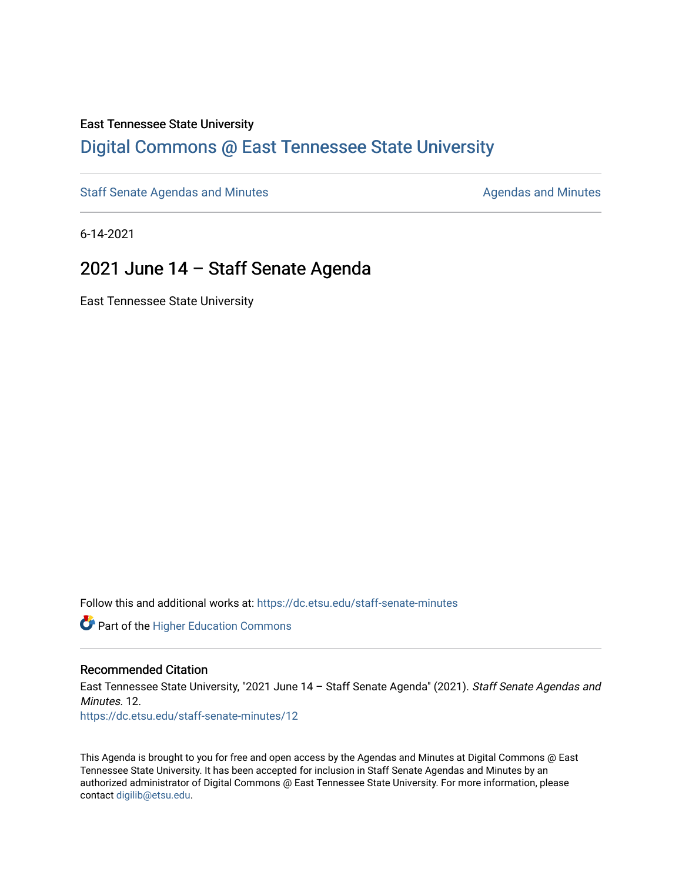#### East Tennessee State University

### [Digital Commons @ East Tennessee State University](https://dc.etsu.edu/)

[Staff Senate Agendas and Minutes](https://dc.etsu.edu/staff-senate-minutes) **Agent Agent Staff Senate Agendas and Minutes** Agendas and Minutes

6-14-2021

### 2021 June 14 – Staff Senate Agenda

East Tennessee State University

Follow this and additional works at: [https://dc.etsu.edu/staff-senate-minutes](https://dc.etsu.edu/staff-senate-minutes?utm_source=dc.etsu.edu%2Fstaff-senate-minutes%2F12&utm_medium=PDF&utm_campaign=PDFCoverPages)

**Part of the Higher Education Commons** 

#### Recommended Citation

East Tennessee State University, "2021 June 14 - Staff Senate Agenda" (2021). Staff Senate Agendas and Minutes. 12. [https://dc.etsu.edu/staff-senate-minutes/12](https://dc.etsu.edu/staff-senate-minutes/12?utm_source=dc.etsu.edu%2Fstaff-senate-minutes%2F12&utm_medium=PDF&utm_campaign=PDFCoverPages) 

This Agenda is brought to you for free and open access by the Agendas and Minutes at Digital Commons @ East Tennessee State University. It has been accepted for inclusion in Staff Senate Agendas and Minutes by an authorized administrator of Digital Commons @ East Tennessee State University. For more information, please contact [digilib@etsu.edu](mailto:digilib@etsu.edu).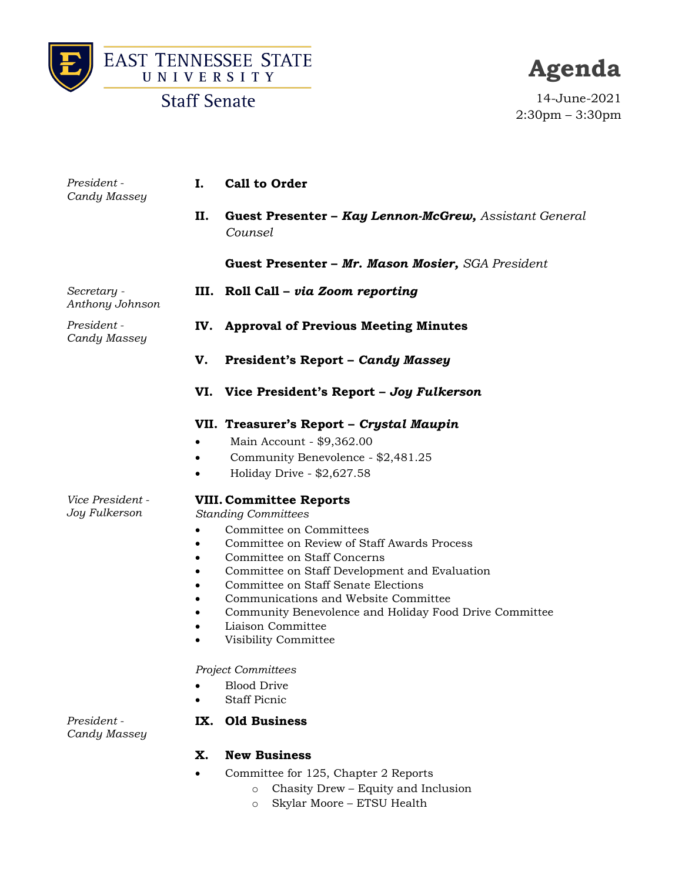



### **Staff Senate**

# **Agenda**

14-June-2021 2:30pm – 3:30pm

| President -<br>Candy Massey       | Ι.                                                                                                   | <b>Call to Order</b>                                                                                                                                                                                                                                                                                                                                                                                                                                                                   |
|-----------------------------------|------------------------------------------------------------------------------------------------------|----------------------------------------------------------------------------------------------------------------------------------------------------------------------------------------------------------------------------------------------------------------------------------------------------------------------------------------------------------------------------------------------------------------------------------------------------------------------------------------|
|                                   | Н.                                                                                                   | Guest Presenter - Kay Lennon-McGrew, Assistant General<br>Counsel                                                                                                                                                                                                                                                                                                                                                                                                                      |
|                                   |                                                                                                      | Guest Presenter - Mr. Mason Mosier, SGA President                                                                                                                                                                                                                                                                                                                                                                                                                                      |
| Secretary -<br>Anthony Johnson    | Ш.                                                                                                   | Roll Call - via Zoom reporting                                                                                                                                                                                                                                                                                                                                                                                                                                                         |
| President -<br>Candy Massey       | IV.                                                                                                  | <b>Approval of Previous Meeting Minutes</b>                                                                                                                                                                                                                                                                                                                                                                                                                                            |
|                                   | V.                                                                                                   | <b>President's Report - Candy Massey</b>                                                                                                                                                                                                                                                                                                                                                                                                                                               |
|                                   | VI.                                                                                                  | Vice President's Report - Joy Fulkerson                                                                                                                                                                                                                                                                                                                                                                                                                                                |
|                                   |                                                                                                      | VII. Treasurer's Report - Crystal Maupin<br>Main Account - \$9,362.00<br>Community Benevolence - \$2,481.25<br>Holiday Drive - \$2,627.58                                                                                                                                                                                                                                                                                                                                              |
| Vice President -<br>Joy Fulkerson | $\bullet$<br>$\bullet$<br>$\bullet$<br>$\bullet$<br>$\bullet$<br>$\bullet$<br>$\bullet$<br>$\bullet$ | <b>VIII. Committee Reports</b><br><b>Standing Committees</b><br>Committee on Committees<br>Committee on Review of Staff Awards Process<br>Committee on Staff Concerns<br>Committee on Staff Development and Evaluation<br>Committee on Staff Senate Elections<br>Communications and Website Committee<br>Community Benevolence and Holiday Food Drive Committee<br>Liaison Committee<br>Visibility Committee<br><b>Project Committees</b><br><b>Blood Drive</b><br><b>Staff Picnic</b> |
| President -<br>Candy Massey       | IX.                                                                                                  | <b>Old Business</b>                                                                                                                                                                                                                                                                                                                                                                                                                                                                    |

### **X. New Business**

- Committee for 125, Chapter 2 Reports
	- o Chasity Drew Equity and Inclusion
	- o Skylar Moore ETSU Health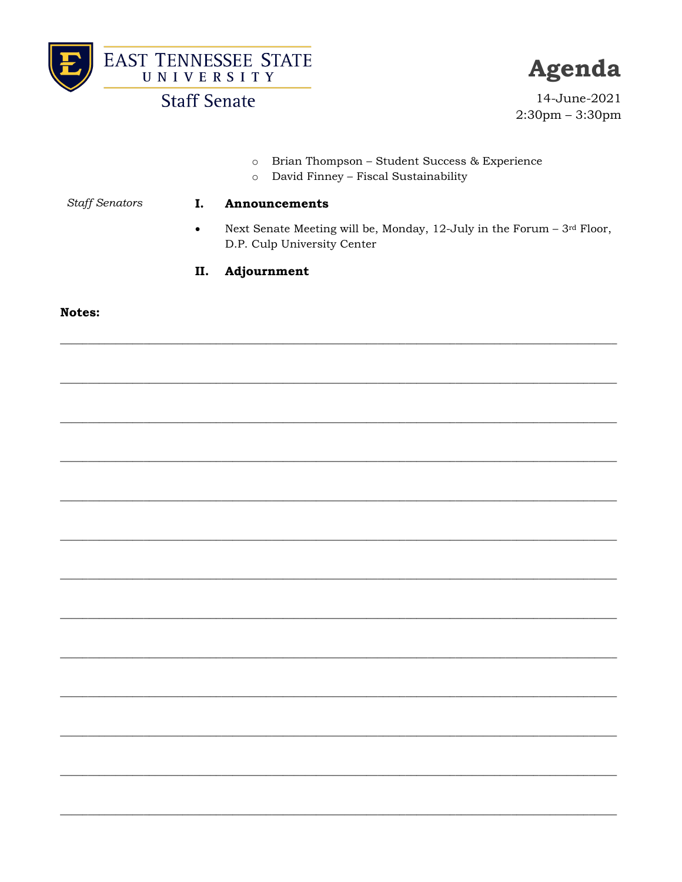



### **Staff Senate**

I.

Agenda

14-June-2021  $2:30$ pm  $-3:30$ pm

- o Brian Thompson Student Success & Experience
- o David Finney Fiscal Sustainability

**Staff Senators** 

#### Announcements

Next Senate Meeting will be, Monday, 12-July in the Forum - 3rd Floor,  $\bullet$ D.P. Culp University Center

#### Adjournment II.

#### Notes: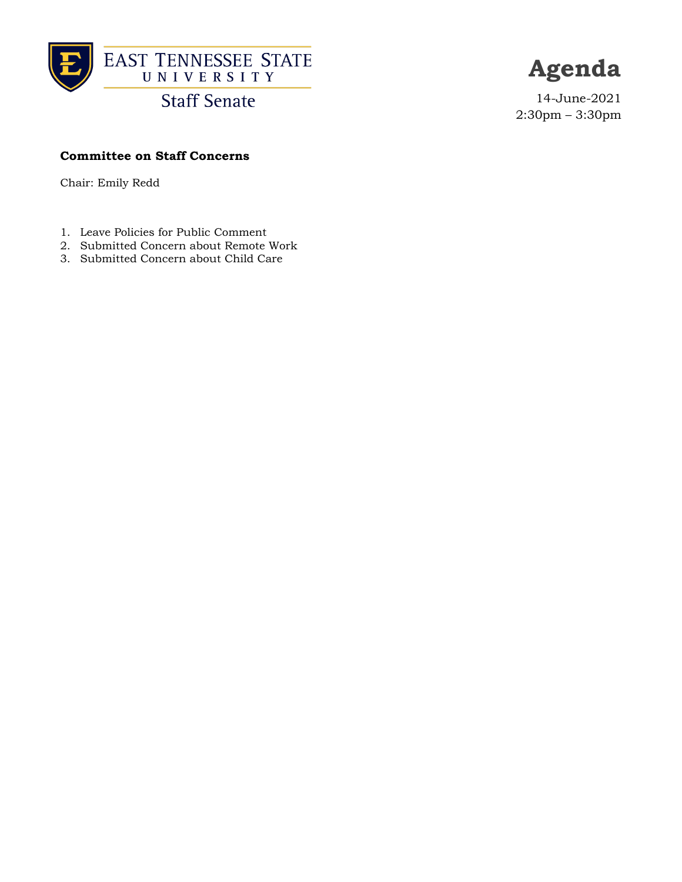

**Staff Senate** 

## **Agenda**

14-June-2021 2:30pm – 3:30pm

### **Committee on Staff Concerns**

Chair: Emily Redd

- 1. Leave Policies for Public Comment
- 2. Submitted Concern about Remote Work
- 3. Submitted Concern about Child Care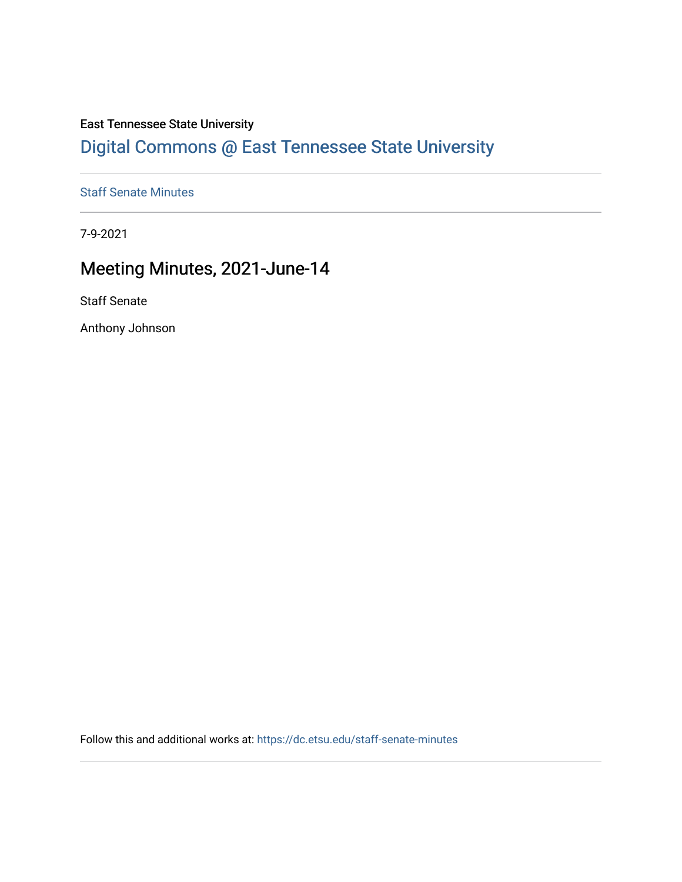### East Tennessee State University

## [Digital Commons @ East Tennessee State University](https://dc.etsu.edu/)

### [Staff Senate Minutes](https://dc.etsu.edu/staff-senate-minutes)

7-9-2021

### Meeting Minutes, 2021-June-14

Staff Senate

Anthony Johnson

Follow this and additional works at: [https://dc.etsu.edu/staff-senate-minutes](https://dc.etsu.edu/staff-senate-minutes?utm_source=dc.etsu.edu%2Fstaff-senate-minutes%2F3&utm_medium=PDF&utm_campaign=PDFCoverPages)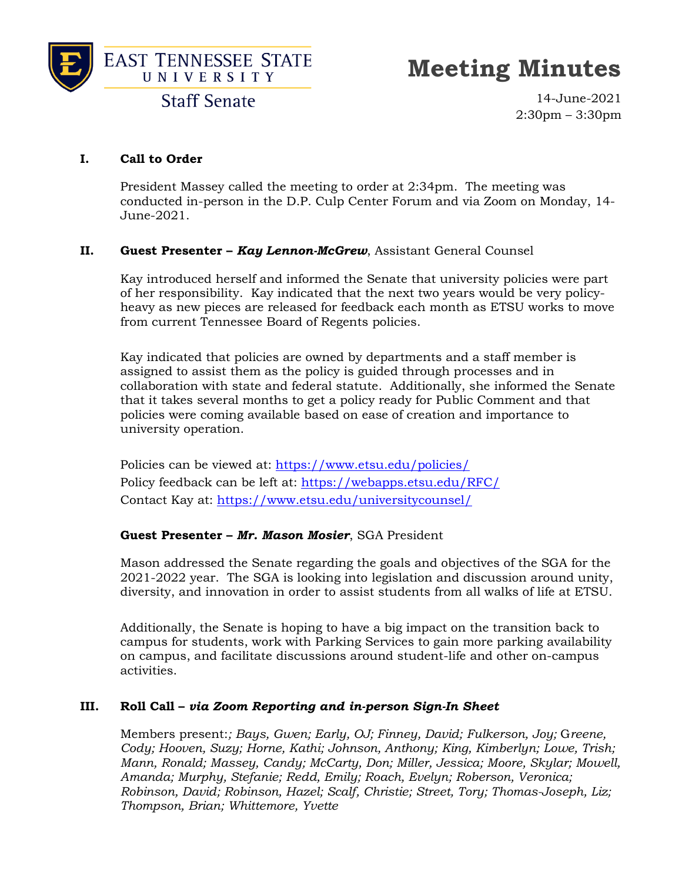



**Staff Senate** 

14-June-2021 2:30pm – 3:30pm

### **I. Call to Order**

President Massey called the meeting to order at 2:34pm. The meeting was conducted in-person in the D.P. Culp Center Forum and via Zoom on Monday, 14- June-2021.

### **II. Guest Presenter –** *Kay Lennon-McGrew*, Assistant General Counsel

Kay introduced herself and informed the Senate that university policies were part of her responsibility. Kay indicated that the next two years would be very policyheavy as new pieces are released for feedback each month as ETSU works to move from current Tennessee Board of Regents policies.

Kay indicated that policies are owned by departments and a staff member is assigned to assist them as the policy is guided through processes and in collaboration with state and federal statute. Additionally, she informed the Senate that it takes several months to get a policy ready for Public Comment and that policies were coming available based on ease of creation and importance to university operation.

Policies can be viewed at:<https://www.etsu.edu/policies/> Policy feedback can be left at:<https://webapps.etsu.edu/RFC/> Contact Kay at:<https://www.etsu.edu/universitycounsel/>

### **Guest Presenter –** *Mr. Mason Mosier*, SGA President

Mason addressed the Senate regarding the goals and objectives of the SGA for the 2021-2022 year. The SGA is looking into legislation and discussion around unity, diversity, and innovation in order to assist students from all walks of life at ETSU.

Additionally, the Senate is hoping to have a big impact on the transition back to campus for students, work with Parking Services to gain more parking availability on campus, and facilitate discussions around student-life and other on-campus activities.

### **III. Roll Call –** *via Zoom Reporting and in-person Sign-In Sheet*

Members present:*; Bays, Gwen; Early, OJ; Finney, David; Fulkerson, Joy;* G*reene, Cody; Hooven, Suzy; Horne, Kathi; Johnson, Anthony; King, Kimberlyn; Lowe, Trish; Mann, Ronald; Massey, Candy; McCarty, Don; Miller, Jessica; Moore, Skylar; Mowell, Amanda; Murphy, Stefanie; Redd, Emily; Roach, Evelyn; Roberson, Veronica; Robinson, David; Robinson, Hazel; Scalf, Christie; Street, Tory; Thomas-Joseph, Liz; Thompson, Brian; Whittemore, Yvette*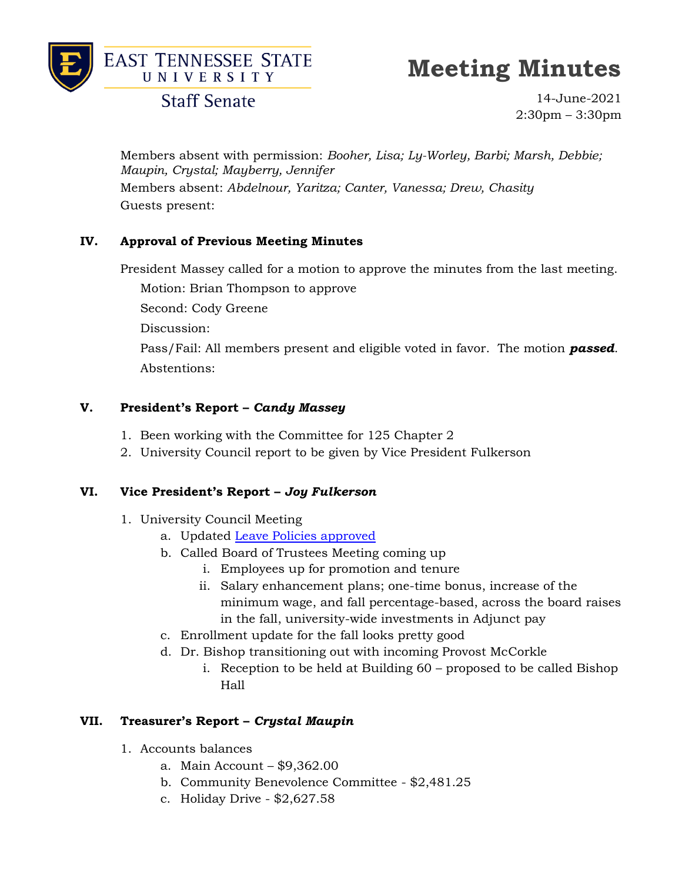

### **Staff Senate**

14-June-2021 2:30pm – 3:30pm

Members absent with permission: *Booher, Lisa; Ly-Worley, Barbi; Marsh, Debbie; Maupin, Crystal; Mayberry, Jennifer* Members absent: *Abdelnour, Yaritza; Canter, Vanessa; Drew, Chasity* Guests present:

### **IV. Approval of Previous Meeting Minutes**

President Massey called for a motion to approve the minutes from the last meeting. Motion: Brian Thompson to approve Second: Cody Greene Discussion: Pass/Fail: All members present and eligible voted in favor. The motion *passed*. Abstentions:

### **V. President's Report –** *Candy Massey*

- 1. Been working with the Committee for 125 Chapter 2
- 2. University Council report to be given by Vice President Fulkerson

### **VI. Vice President's Report –** *Joy Fulkerson*

- 1. University Council Meeting
	- a. Updated [Leave Policies approved](https://www.etsu.edu/universitycouncil/meetings.php)
	- b. Called Board of Trustees Meeting coming up
		- i. Employees up for promotion and tenure
		- ii. Salary enhancement plans; one-time bonus, increase of the minimum wage, and fall percentage-based, across the board raises in the fall, university-wide investments in Adjunct pay
	- c. Enrollment update for the fall looks pretty good
	- d. Dr. Bishop transitioning out with incoming Provost McCorkle
		- i. Reception to be held at Building 60 proposed to be called Bishop Hall

### **VII. Treasurer's Report –** *Crystal Maupin*

- 1. Accounts balances
	- a. Main Account \$9,362.00
	- b. Community Benevolence Committee \$2,481.25
	- c. Holiday Drive \$2,627.58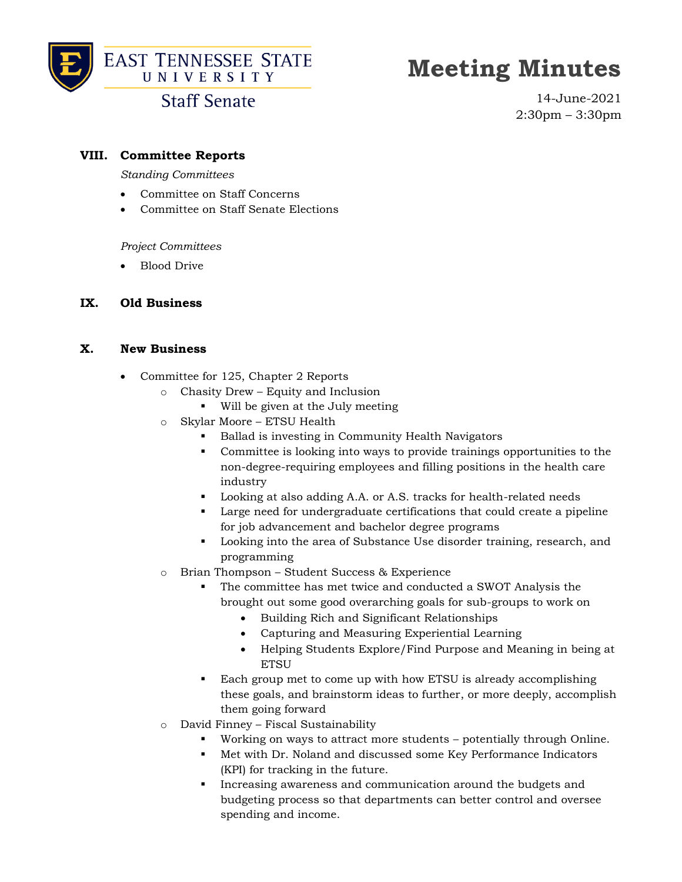

### **EAST TENNESSEE STATE** UNIVERSITY

## **Meeting Minutes**

### **Staff Senate**

14-June-2021 2:30pm – 3:30pm

### **VIII. Committee Reports**

*Standing Committees*

- Committee on Staff Concerns
- Committee on Staff Senate Elections

*Project Committees*

• Blood Drive

### **IX. Old Business**

### **X. New Business**

- Committee for 125, Chapter 2 Reports
	- o Chasity Drew Equity and Inclusion
		- Will be given at the July meeting
	- o Skylar Moore ETSU Health
		- Ballad is investing in Community Health Navigators
		- Committee is looking into ways to provide trainings opportunities to the non-degree-requiring employees and filling positions in the health care industry
		- Looking at also adding A.A. or A.S. tracks for health-related needs
		- Large need for undergraduate certifications that could create a pipeline for job advancement and bachelor degree programs
		- Looking into the area of Substance Use disorder training, research, and programming
	- o Brian Thompson Student Success & Experience
		- The committee has met twice and conducted a SWOT Analysis the brought out some good overarching goals for sub-groups to work on
			- Building Rich and Significant Relationships
			- Capturing and Measuring Experiential Learning
			- Helping Students Explore/Find Purpose and Meaning in being at **ETSU**
		- Each group met to come up with how ETSU is already accomplishing these goals, and brainstorm ideas to further, or more deeply, accomplish them going forward
	- o David Finney Fiscal Sustainability
		- Working on ways to attract more students potentially through Online.
		- Met with Dr. Noland and discussed some Key Performance Indicators (KPI) for tracking in the future.
		- Increasing awareness and communication around the budgets and budgeting process so that departments can better control and oversee spending and income.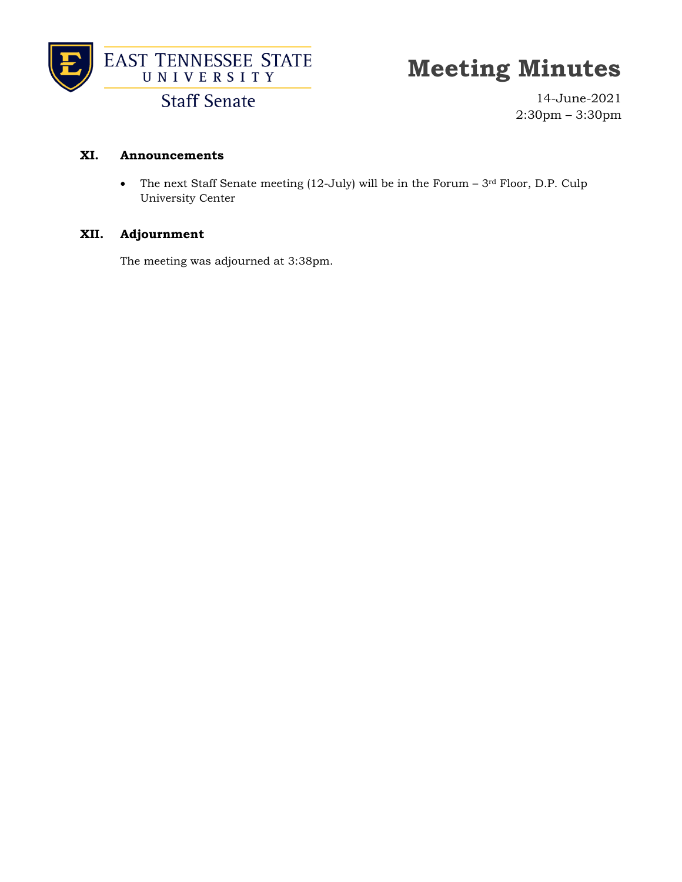

**Staff Senate** 

14-June-2021 2:30pm – 3:30pm

### **XI. Announcements**

• The next Staff Senate meeting (12-July) will be in the Forum  $-3<sup>rd</sup>$  Floor, D.P. Culp University Center

### **XII. Adjournment**

The meeting was adjourned at 3:38pm.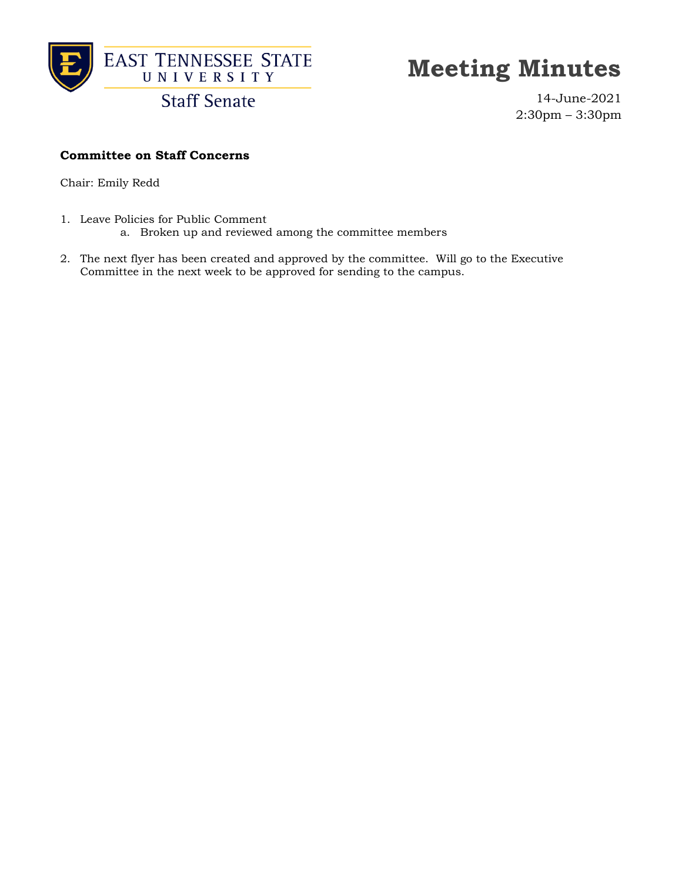

**Staff Senate** 

14-June-2021 2:30pm – 3:30pm

### **Committee on Staff Concerns**

Chair: Emily Redd

- 1. Leave Policies for Public Comment
	- a. Broken up and reviewed among the committee members
- 2. The next flyer has been created and approved by the committee. Will go to the Executive Committee in the next week to be approved for sending to the campus.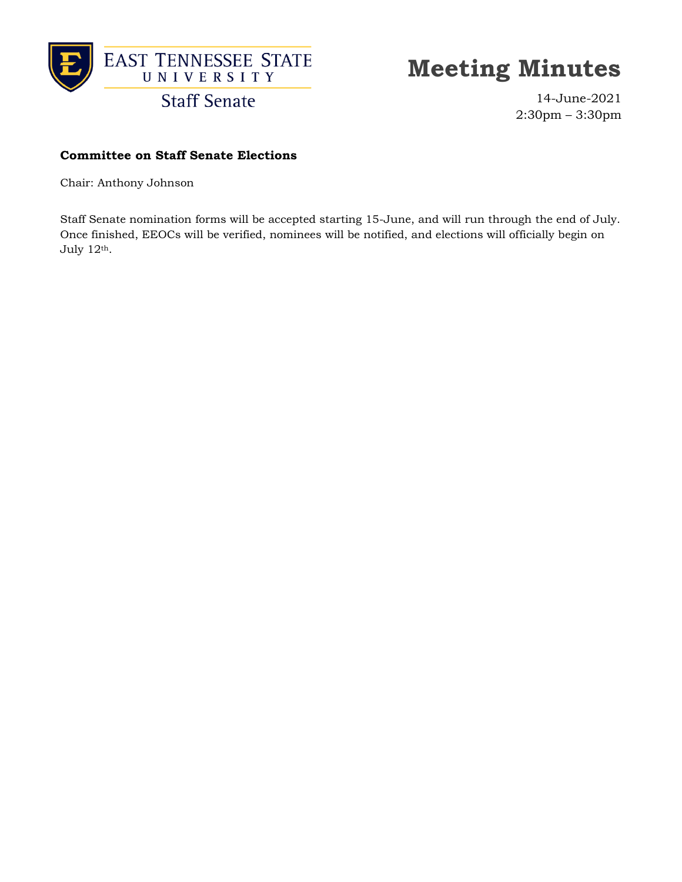

14-June-2021 2:30pm – 3:30pm

### **Committee on Staff Senate Elections**

Chair: Anthony Johnson

Staff Senate nomination forms will be accepted starting 15-June, and will run through the end of July. Once finished, EEOCs will be verified, nominees will be notified, and elections will officially begin on July 12th.